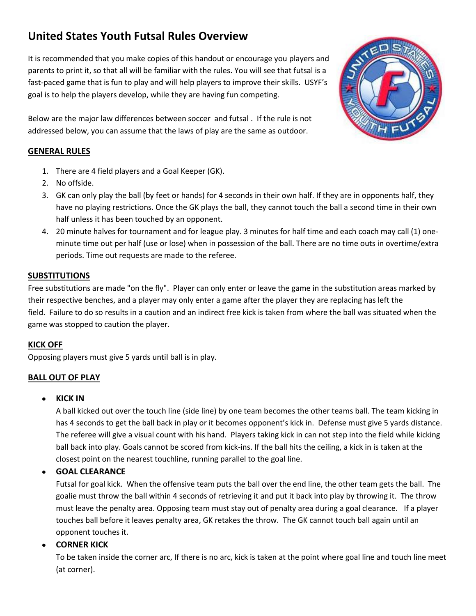# **United States Youth Futsal Rules Overview**

It is recommended that you make copies of this handout or encourage you players and parents to print it, so that all will be familiar with the rules. You will see that futsal is a fast-paced game that is fun to play and will help players to improve their skills. USYF's goal is to help the players develop, while they are having fun competing.

Below are the major law differences between soccer and futsal . If the rule is not addressed below, you can assume that the laws of play are the same as outdoor.

# **GENERAL RULES**

- 1. There are 4 field players and a Goal Keeper (GK).
- 2. No offside.
- 3. GK can only play the ball (by feet or hands) for 4 seconds in their own half. If they are in opponents half, they have no playing restrictions. Once the GK plays the ball, they cannot touch the ball a second time in their own half unless it has been touched by an opponent.
- 4. 20 minute halves for tournament and for league play. 3 minutes for half time and each coach may call (1) oneminute time out per half (use or lose) when in possession of the ball. There are no time outs in overtime/extra periods. Time out requests are made to the referee.

# **SUBSTITUTIONS**

Free substitutions are made "on the fly". Player can only enter or leave the game in the substitution areas marked by their respective benches, and a player may only enter a game after the player they are replacing has left the field. Failure to do so results in a caution and an indirect free kick is taken from where the ball was situated when the game was stopped to caution the player.

# **KICK OFF**

Opposing players must give 5 yards until ball is in play.

# **BALL OUT OF PLAY**

# **KICK IN**

A ball kicked out over the touch line (side line) by one team becomes the other teams ball. The team kicking in has 4 seconds to get the ball back in play or it becomes opponent's kick in. Defense must give 5 yards distance. The referee will give a visual count with his hand. Players taking kick in can not step into the field while kicking ball back into play. Goals cannot be scored from kick-ins. If the ball hits the ceiling, a kick in is taken at the closest point on the nearest touchline, running parallel to the goal line.

# **GOAL CLEARANCE**

Futsal for goal kick. When the offensive team puts the ball over the end line, the other team gets the ball. The goalie must throw the ball within 4 seconds of retrieving it and put it back into play by throwing it. The throw must leave the penalty area. Opposing team must stay out of penalty area during a goal clearance. If a player touches ball before it leaves penalty area, GK retakes the throw. The GK cannot touch ball again until an opponent touches it.

# **CORNER KICK**

To be taken inside the corner arc, If there is no arc, kick is taken at the point where goal line and touch line meet (at corner).